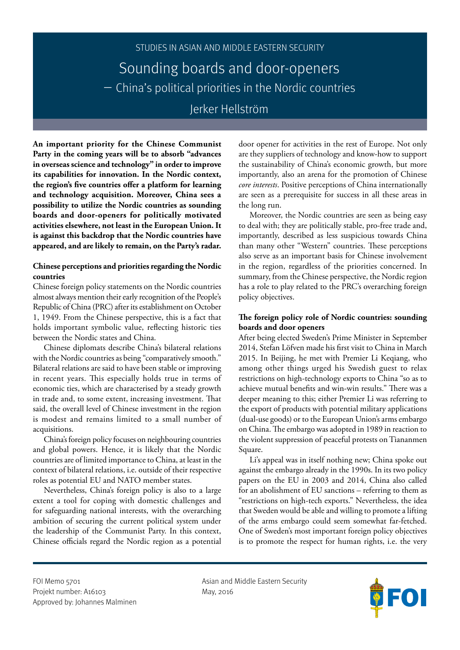

**An important priority for the Chinese Communist Party in the coming years will be to absorb "advances in overseas science and technology" in order to improve its capabilities for innovation. In the Nordic context, the region's five countries offer a platform for learning and technology acquisition. Moreover, China sees a possibility to utilize the Nordic countries as sounding boards and door-openers for politically motivated activities elsewhere, not least in the European Union. It is against this backdrop that the Nordic countries have appeared, and are likely to remain, on the Party's radar.**

# **Chinese perceptions and priorities regarding the Nordic countries**

Chinese foreign policy statements on the Nordic countries almost always mention their early recognition of the People's Republic of China (PRC) after its establishment on October 1, 1949. From the Chinese perspective, this is a fact that holds important symbolic value, reflecting historic ties between the Nordic states and China.

Chinese diplomats describe China's bilateral relations with the Nordic countries as being "comparatively smooth." Bilateral relations are said to have been stable or improving in recent years. This especially holds true in terms of economic ties, which are characterised by a steady growth in trade and, to some extent, increasing investment. That said, the overall level of Chinese investment in the region is modest and remains limited to a small number of acquisitions.

China's foreign policy focuses on neighbouring countries and global powers. Hence, it is likely that the Nordic countries are of limited importance to China, at least in the context of bilateral relations, i.e. outside of their respective roles as potential EU and NATO member states.

Nevertheless, China's foreign policy is also to a large extent a tool for coping with domestic challenges and for safeguarding national interests, with the overarching ambition of securing the current political system under the leadership of the Communist Party. In this context, Chinese officials regard the Nordic region as a potential

door opener for activities in the rest of Europe. Not only are they suppliers of technology and know-how to support the sustainability of China's economic growth, but more importantly, also an arena for the promotion of Chinese *core interests*. Positive perceptions of China internationally are seen as a prerequisite for success in all these areas in the long run.

Moreover, the Nordic countries are seen as being easy to deal with; they are politically stable, pro-free trade and, importantly, described as less suspicious towards China than many other "Western" countries. These perceptions also serve as an important basis for Chinese involvement in the region, regardless of the priorities concerned. In summary, from the Chinese perspective, the Nordic region has a role to play related to the PRC's overarching foreign policy objectives.

# **The foreign policy role of Nordic countries: sounding boards and door openers**

After being elected Sweden's Prime Minister in September 2014, Stefan Löfven made his first visit to China in March 2015. In Beijing, he met with Premier Li Keqiang, who among other things urged his Swedish guest to relax restrictions on high-technology exports to China "so as to achieve mutual benefits and win-win results." There was a deeper meaning to this; either Premier Li was referring to the export of products with potential military applications (dual-use goods) or to the European Union's arms embargo on China. The embargo was adopted in 1989 in reaction to the violent suppression of peaceful protests on Tiananmen Square.

Li's appeal was in itself nothing new; China spoke out against the embargo already in the 1990s. In its two policy papers on the EU in 2003 and 2014, China also called for an abolishment of EU sanctions – referring to them as "restrictions on high-tech exports." Nevertheless, the idea that Sweden would be able and willing to promote a lifting of the arms embargo could seem somewhat far-fetched. One of Sweden's most important foreign policy objectives is to promote the respect for human rights, i.e. the very

Projekt number: A16103 May, 2016 Approved by: Johannes Malminen

FOI Memo 5701 **Asian and Middle Eastern Security** Asian and Middle Eastern Security

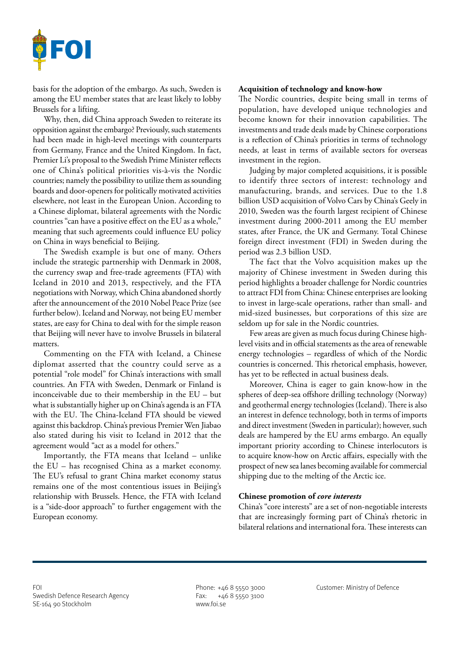

basis for the adoption of the embargo. As such, Sweden is among the EU member states that are least likely to lobby Brussels for a lifting.

Why, then, did China approach Sweden to reiterate its opposition against the embargo? Previously, such statements had been made in high-level meetings with counterparts from Germany, France and the United Kingdom. In fact, Premier Li's proposal to the Swedish Prime Minister reflects one of China's political priorities vis-à-vis the Nordic countries; namely the possibility to utilize them as sounding boards and door-openers for politically motivated activities elsewhere, not least in the European Union. According to a Chinese diplomat, bilateral agreements with the Nordic countries "can have a positive effect on the EU as a whole," meaning that such agreements could influence EU policy on China in ways beneficial to Beijing.

The Swedish example is but one of many. Others include the strategic partnership with Denmark in 2008, the currency swap and free-trade agreements (FTA) with Iceland in 2010 and 2013, respectively, and the FTA negotiations with Norway, which China abandoned shortly after the announcement of the 2010 Nobel Peace Prize (see further below). Iceland and Norway, not being EU member states, are easy for China to deal with for the simple reason that Beijing will never have to involve Brussels in bilateral matters.

Commenting on the FTA with Iceland, a Chinese diplomat asserted that the country could serve as a potential "role model" for China's interactions with small countries. An FTA with Sweden, Denmark or Finland is inconceivable due to their membership in the EU – but what is substantially higher up on China's agenda is an FTA with the EU. The China-Iceland FTA should be viewed against this backdrop. China's previous Premier Wen Jiabao also stated during his visit to Iceland in 2012 that the agreement would "act as a model for others."

Importantly, the FTA means that Iceland – unlike the EU – has recognised China as a market economy. The EU's refusal to grant China market economy status remains one of the most contentious issues in Beijing's relationship with Brussels. Hence, the FTA with Iceland is a "side-door approach" to further engagement with the European economy.

### **Acquisition of technology and know-how**

The Nordic countries, despite being small in terms of population, have developed unique technologies and become known for their innovation capabilities. The investments and trade deals made by Chinese corporations is a reflection of China's priorities in terms of technology needs, at least in terms of available sectors for overseas investment in the region.

Judging by major completed acquisitions, it is possible to identify three sectors of interest: technology and manufacturing, brands, and services. Due to the 1.8 billion USD acquisition of Volvo Cars by China's Geely in 2010, Sweden was the fourth largest recipient of Chinese investment during 2000-2011 among the EU member states, after France, the UK and Germany. Total Chinese foreign direct investment (FDI) in Sweden during the period was 2.3 billion USD.

The fact that the Volvo acquisition makes up the majority of Chinese investment in Sweden during this period highlights a broader challenge for Nordic countries to attract FDI from China: Chinese enterprises are looking to invest in large-scale operations, rather than small- and mid-sized businesses, but corporations of this size are seldom up for sale in the Nordic countries.

Few areas are given as much focus during Chinese highlevel visits and in official statements as the area of renewable energy technologies – regardless of which of the Nordic countries is concerned. This rhetorical emphasis, however, has yet to be reflected in actual business deals.

Moreover, China is eager to gain know-how in the spheres of deep-sea offshore drilling technology (Norway) and geothermal energy technologies (Iceland). There is also an interest in defence technology, both in terms of imports and direct investment (Sweden in particular); however, such deals are hampered by the EU arms embargo. An equally important priority according to Chinese interlocutors is to acquire know-how on Arctic affairs, especially with the prospect of new sea lanes becoming available for commercial shipping due to the melting of the Arctic ice.

## **Chinese promotion of** *core interests*

China's "core interests" are a set of non-negotiable interests that are increasingly forming part of China's rhetoric in bilateral relations and international fora. These interests can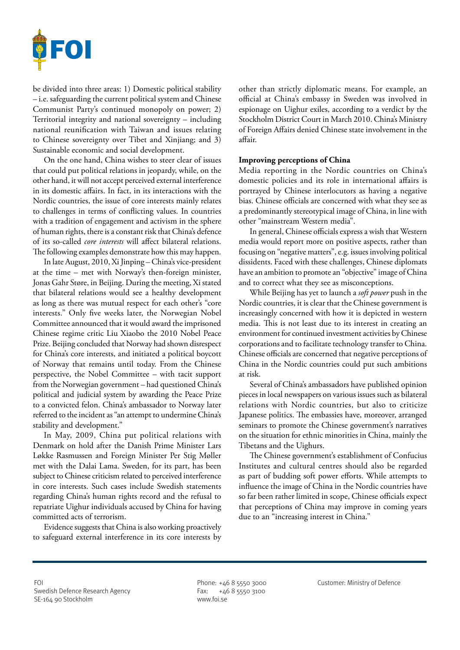

be divided into three areas: 1) Domestic political stability – i.e. safeguarding the current political system and Chinese Communist Party's continued monopoly on power; 2) Territorial integrity and national sovereignty – including national reunification with Taiwan and issues relating to Chinese sovereignty over Tibet and Xinjiang; and 3) Sustainable economic and social development.

On the one hand, China wishes to steer clear of issues that could put political relations in jeopardy, while, on the other hand, it will not accept perceived external interference in its domestic affairs. In fact, in its interactions with the Nordic countries, the issue of core interests mainly relates to challenges in terms of conflicting values. In countries with a tradition of engagement and activism in the sphere of human rights, there is a constant risk that China's defence of its so-called *core interests* will affect bilateral relations. The following examples demonstrate how this may happen.

In late August, 2010, Xi Jinping – China's vice-president at the time – met with Norway's then-foreign minister, Jonas Gahr Støre, in Beijing. During the meeting, Xi stated that bilateral relations would see a healthy development as long as there was mutual respect for each other's "core interests." Only five weeks later, the Norwegian Nobel Committee announced that it would award the imprisoned Chinese regime critic Liu Xiaobo the 2010 Nobel Peace Prize. Beijing concluded that Norway had shown disrespect for China's core interests, and initiated a political boycott of Norway that remains until today. From the Chinese perspective, the Nobel Committee – with tacit support from the Norwegian government – had questioned China's political and judicial system by awarding the Peace Prize to a convicted felon. China's ambassador to Norway later referred to the incident as "an attempt to undermine China's stability and development."

In May, 2009, China put political relations with Denmark on hold after the Danish Prime Minister Lars Løkke Rasmussen and Foreign Minister Per Stig Møller met with the Dalai Lama. Sweden, for its part, has been subject to Chinese criticism related to perceived interference in core interests. Such cases include Swedish statements regarding China's human rights record and the refusal to repatriate Uighur individuals accused by China for having committed acts of terrorism.

Evidence suggests that China is also working proactively to safeguard external interference in its core interests by

other than strictly diplomatic means. For example, an official at China's embassy in Sweden was involved in espionage on Uighur exiles, according to a verdict by the Stockholm District Court in March 2010. China's Ministry of Foreign Affairs denied Chinese state involvement in the affair.

### **Improving perceptions of China**

Media reporting in the Nordic countries on China's domestic policies and its role in international affairs is portrayed by Chinese interlocutors as having a negative bias. Chinese officials are concerned with what they see as a predominantly stereotypical image of China, in line with other "mainstream Western media".

In general, Chinese officials express a wish that Western media would report more on positive aspects, rather than focusing on "negative matters", e.g. issues involving political dissidents. Faced with these challenges, Chinese diplomats have an ambition to promote an "objective" image of China and to correct what they see as misconceptions.

While Beijing has yet to launch a *soft power* push in the Nordic countries, it is clear that the Chinese government is increasingly concerned with how it is depicted in western media. This is not least due to its interest in creating an environment for continued investment activities by Chinese corporations and to facilitate technology transfer to China. Chinese officials are concerned that negative perceptions of China in the Nordic countries could put such ambitions at risk.

Several of China's ambassadors have published opinion pieces in local newspapers on various issues such as bilateral relations with Nordic countries, but also to criticize Japanese politics. The embassies have, moreover, arranged seminars to promote the Chinese government's narratives on the situation for ethnic minorities in China, mainly the Tibetans and the Uighurs.

The Chinese government's establishment of Confucius Institutes and cultural centres should also be regarded as part of budding soft power efforts. While attempts to influence the image of China in the Nordic countries have so far been rather limited in scope, Chinese officials expect that perceptions of China may improve in coming years due to an "increasing interest in China."